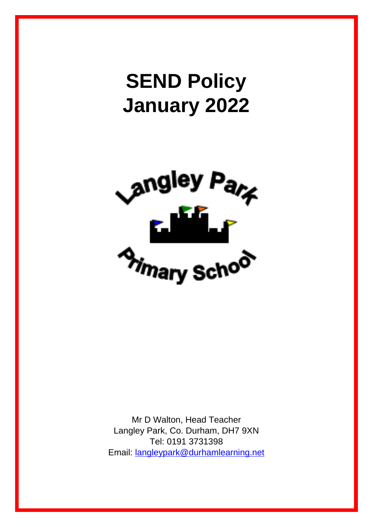# **SEND Policy January 2022**



Mr D Walton, Head Teacher Langley Park, Co. Durham, DH7 9XN Tel: 0191 3731398 Email: [langleypark@durhamlearning.net](mailto:langleypark@durhamlearning.net)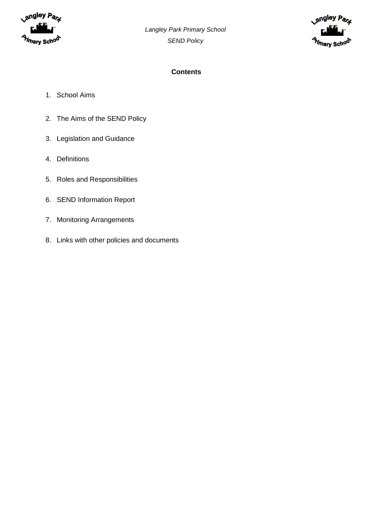



## **Contents**

- 1. School Aims
- 2. The Aims of the SEND Policy
- 3. Legislation and Guidance
- 4. Definitions
- 5. Roles and Responsibilities
- 6. SEND Information Report
- 7. Monitoring Arrangements
- 8. Links with other policies and documents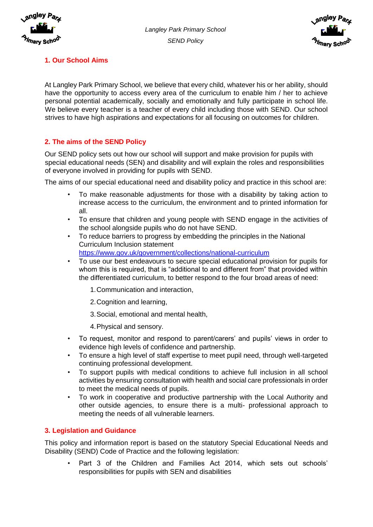



# **1. Our School Aims**

At Langley Park Primary School, we believe that every child, whatever his or her ability, should have the opportunity to access every area of the curriculum to enable him / her to achieve personal potential academically, socially and emotionally and fully participate in school life. We believe every teacher is a teacher of every child including those with SEND. Our school strives to have high aspirations and expectations for all focusing on outcomes for children.

# **2. The aims of the SEND Policy**

Our SEND policy sets out how our school will support and make provision for pupils with special educational needs (SEN) and disability and will explain the roles and responsibilities of everyone involved in providing for pupils with SEND.

The aims of our special educational need and disability policy and practice in this school are:

- To make reasonable adjustments for those with a disability by taking action to increase access to the curriculum, the environment and to printed information for all.
- To ensure that children and young people with SEND engage in the activities of the school alongside pupils who do not have SEND.
- To reduce barriers to progress by embedding the principles in the National Curriculum Inclusion statement
	- https://www.gov.uk/government/collections/national-curriculum
- To use our best endeavours to secure special educational provision for pupils for whom this is required, that is "additional to and different from" that provided within the differentiated curriculum, to better respond to the four broad areas of need:
	- 1.Communication and interaction,
	- 2.Cognition and learning,
	- 3.Social, emotional and mental health,
	- 4.Physical and sensory.
- To request, monitor and respond to parent/carers' and pupils' views in order to evidence high levels of confidence and partnership.
- To ensure a high level of staff expertise to meet pupil need, through well-targeted continuing professional development.
- To support pupils with medical conditions to achieve full inclusion in all school activities by ensuring consultation with health and social care professionals in order to meet the medical needs of pupils.
- To work in cooperative and productive partnership with the Local Authority and other outside agencies, to ensure there is a multi- professional approach to meeting the needs of all vulnerable learners.

## **3. Legislation and Guidance**

This policy and information report is based on the statutory Special Educational Needs and Disability (SEND) Code of Practice and the following legislation:

• Part 3 of the Children and Families Act 2014, which sets out schools' responsibilities for pupils with SEN and disabilities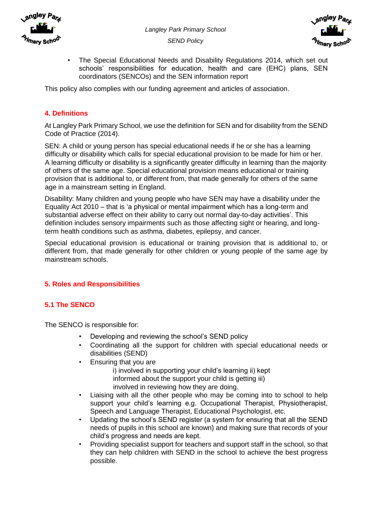



• The Special Educational Needs and Disability Regulations 2014, which set out schools' responsibilities for education, health and care (EHC) plans, SEN coordinators (SENCOs) and the SEN information report

This policy also complies with our funding agreement and articles of association.

## **4. Definitions**

At Langley Park Primary School, we use the definition for SEN and for disability from the SEND Code of Practice (2014).

SEN: A child or young person has special educational needs if he or she has a learning difficulty or disability which calls for special educational provision to be made for him or her. A learning difficulty or disability is a significantly greater difficulty in learning than the majority of others of the same age. Special educational provision means educational or training provision that is additional to, or different from, that made generally for others of the same age in a mainstream setting in England.

Disability: Many children and young people who have SEN may have a disability under the Equality Act 2010 – that is 'a physical or mental impairment which has a long-term and substantial adverse effect on their ability to carry out normal day-to-day activities'. This definition includes sensory impairments such as those affecting sight or hearing, and longterm health conditions such as asthma, diabetes, epilepsy, and cancer.

Special educational provision is educational or training provision that is additional to, or different from, that made generally for other children or young people of the same age by mainstream schools.

## **5. Roles and Responsibilities**

## **5.1 The SENCO**

The SENCO is responsible for:

- Developing and reviewing the school's SEND policy
- Coordinating all the support for children with special educational needs or disabilities (SEND)
- Ensuring that you are
	- i) involved in supporting your child's learning ii) kept informed about the support your child is getting iii) involved in reviewing how they are doing.
- Liaising with all the other people who may be coming into to school to help support your child's learning e.g. Occupational Therapist, Physiotherapist, Speech and Language Therapist, Educational Psychologist, etc.
- Updating the school's SEND register (a system for ensuring that all the SEND needs of pupils in this school are known) and making sure that records of your child's progress and needs are kept.
- Providing specialist support for teachers and support staff in the school, so that they can help children with SEND in the school to achieve the best progress possible.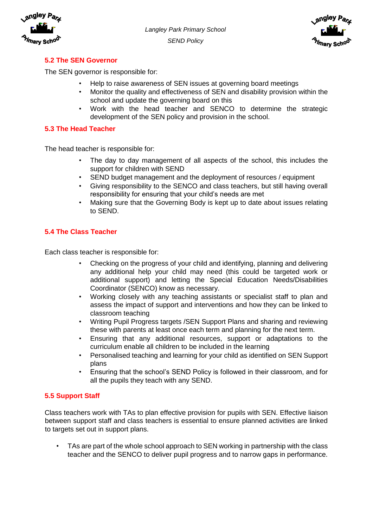



## **5.2 The SEN Governor**

The SEN governor is responsible for:

- Help to raise awareness of SEN issues at governing board meetings
- Monitor the quality and effectiveness of SEN and disability provision within the school and update the governing board on this
- Work with the head teacher and SENCO to determine the strategic development of the SEN policy and provision in the school.

## **5.3 The Head Teacher**

The head teacher is responsible for:

- The day to day management of all aspects of the school, this includes the support for children with SEND
- SEND budget management and the deployment of resources / equipment
- Giving responsibility to the SENCO and class teachers, but still having overall responsibility for ensuring that your child's needs are met
- Making sure that the Governing Body is kept up to date about issues relating to SEND.

## **5.4 The Class Teacher**

Each class teacher is responsible for:

- Checking on the progress of your child and identifying, planning and delivering any additional help your child may need (this could be targeted work or additional support) and letting the Special Education Needs/Disabilities Coordinator (SENCO) know as necessary.
- Working closely with any teaching assistants or specialist staff to plan and assess the impact of support and interventions and how they can be linked to classroom teaching
- Writing Pupil Progress targets /SEN Support Plans and sharing and reviewing these with parents at least once each term and planning for the next term.
- Ensuring that any additional resources, support or adaptations to the curriculum enable all children to be included in the learning
- Personalised teaching and learning for your child as identified on SEN Support plans
- Ensuring that the school's SEND Policy is followed in their classroom, and for all the pupils they teach with any SEND.

## **5.5 Support Staff**

Class teachers work with TAs to plan effective provision for pupils with SEN. Effective liaison between support staff and class teachers is essential to ensure planned activities are linked to targets set out in support plans.

TAs are part of the whole school approach to SEN working in partnership with the class teacher and the SENCO to deliver pupil progress and to narrow gaps in performance.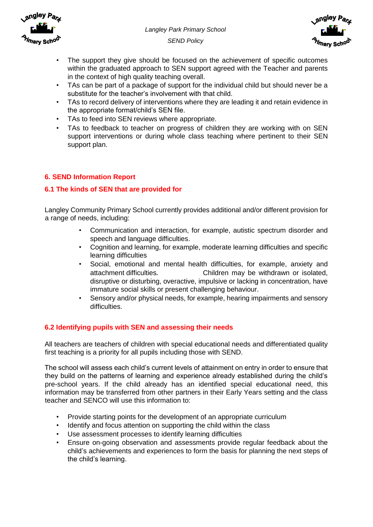



- The support they give should be focused on the achievement of specific outcomes within the graduated approach to SEN support agreed with the Teacher and parents in the context of high quality teaching overall.
- TAs can be part of a package of support for the individual child but should never be a substitute for the teacher's involvement with that child.
- TAs to record delivery of interventions where they are leading it and retain evidence in the appropriate format/child's SEN file.
- TAs to feed into SEN reviews where appropriate.
- TAs to feedback to teacher on progress of children they are working with on SEN support interventions or during whole class teaching where pertinent to their SEN support plan.

## **6. SEND Information Report**

## **6.1 The kinds of SEN that are provided for**

Langley Community Primary School currently provides additional and/or different provision for a range of needs, including:

- Communication and interaction, for example, autistic spectrum disorder and speech and language difficulties.
- Cognition and learning, for example, moderate learning difficulties and specific learning difficulties
- Social, emotional and mental health difficulties, for example, anxiety and attachment difficulties. Children may be withdrawn or isolated, disruptive or disturbing, overactive, impulsive or lacking in concentration, have immature social skills or present challenging behaviour.
- Sensory and/or physical needs, for example, hearing impairments and sensory difficulties.

#### **6.2 Identifying pupils with SEN and assessing their needs**

All teachers are teachers of children with special educational needs and differentiated quality first teaching is a priority for all pupils including those with SEND.

The school will assess each child's current levels of attainment on entry in order to ensure that they build on the patterns of learning and experience already established during the child's pre-school years. If the child already has an identified special educational need, this information may be transferred from other partners in their Early Years setting and the class teacher and SENCO will use this information to:

- Provide starting points for the development of an appropriate curriculum
- Identify and focus attention on supporting the child within the class
- Use assessment processes to identify learning difficulties
- Ensure on-going observation and assessments provide regular feedback about the child's achievements and experiences to form the basis for planning the next steps of the child's learning.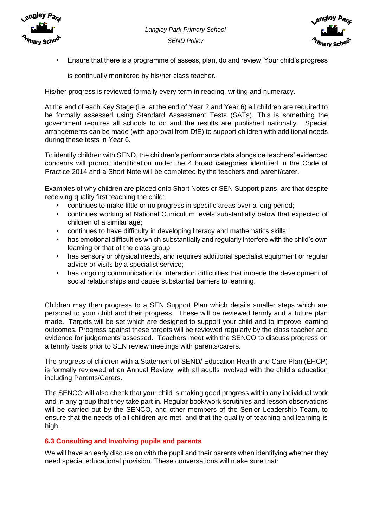



• Ensure that there is a programme of assess, plan, do and review Your child's progress

is continually monitored by his/her class teacher.

His/her progress is reviewed formally every term in reading, writing and numeracy.

At the end of each Key Stage (i.e. at the end of Year 2 and Year 6) all children are required to be formally assessed using Standard Assessment Tests (SATs). This is something the government requires all schools to do and the results are published nationally. Special arrangements can be made (with approval from DfE) to support children with additional needs during these tests in Year 6.

To identify children with SEND, the children's performance data alongside teachers' evidenced concerns will prompt identification under the 4 broad categories identified in the Code of Practice 2014 and a Short Note will be completed by the teachers and parent/carer.

Examples of why children are placed onto Short Notes or SEN Support plans, are that despite receiving quality first teaching the child:

- continues to make little or no progress in specific areas over a long period;
- continues working at National Curriculum levels substantially below that expected of children of a similar age;
- continues to have difficulty in developing literacy and mathematics skills;
- has emotional difficulties which substantially and regularly interfere with the child's own learning or that of the class group.
- has sensory or physical needs, and requires additional specialist equipment or regular advice or visits by a specialist service;
- has ongoing communication or interaction difficulties that impede the development of social relationships and cause substantial barriers to learning.

Children may then progress to a SEN Support Plan which details smaller steps which are personal to your child and their progress. These will be reviewed termly and a future plan made. Targets will be set which are designed to support your child and to improve learning outcomes. Progress against these targets will be reviewed regularly by the class teacher and evidence for judgements assessed. Teachers meet with the SENCO to discuss progress on a termly basis prior to SEN review meetings with parents/carers.

The progress of children with a Statement of SEND/ Education Health and Care Plan (EHCP) is formally reviewed at an Annual Review, with all adults involved with the child's education including Parents/Carers.

The SENCO will also check that your child is making good progress within any individual work and in any group that they take part in. Regular book/work scrutinies and lesson observations will be carried out by the SENCO, and other members of the Senior Leadership Team, to ensure that the needs of all children are met, and that the quality of teaching and learning is high.

#### **6.3 Consulting and Involving pupils and parents**

We will have an early discussion with the pupil and their parents when identifying whether they need special educational provision. These conversations will make sure that: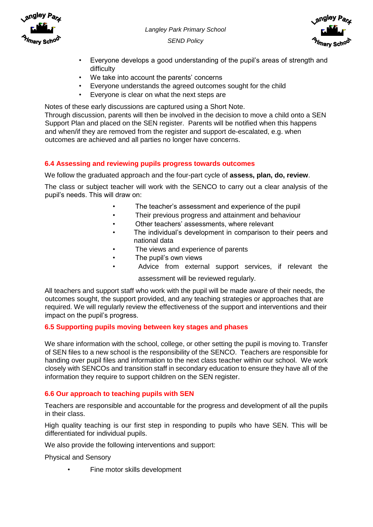



- Everyone develops a good understanding of the pupil's areas of strength and difficulty
- We take into account the parents' concerns
- Everyone understands the agreed outcomes sought for the child
- Everyone is clear on what the next steps are

Notes of these early discussions are captured using a Short Note.

Through discussion, parents will then be involved in the decision to move a child onto a SEN Support Plan and placed on the SEN register. Parents will be notified when this happens and when/if they are removed from the register and support de-escalated, e.g. when outcomes are achieved and all parties no longer have concerns.

#### **6.4 Assessing and reviewing pupils progress towards outcomes**

We follow the graduated approach and the four-part cycle of **assess, plan, do, review**.

The class or subject teacher will work with the SENCO to carry out a clear analysis of the pupil's needs. This will draw on:

- The teacher's assessment and experience of the pupil
- Their previous progress and attainment and behaviour
- Other teachers' assessments, where relevant
- The individual's development in comparison to their peers and national data
- The views and experience of parents
- The pupil's own views
- Advice from external support services, if relevant the

assessment will be reviewed regularly.

All teachers and support staff who work with the pupil will be made aware of their needs, the outcomes sought, the support provided, and any teaching strategies or approaches that are required. We will regularly review the effectiveness of the support and interventions and their impact on the pupil's progress.

#### **6.5 Supporting pupils moving between key stages and phases**

We share information with the school, college, or other setting the pupil is moving to. Transfer of SEN files to a new school is the responsibility of the SENCO. Teachers are responsible for handing over pupil files and information to the next class teacher within our school. We work closely with SENCOs and transition staff in secondary education to ensure they have all of the information they require to support children on the SEN register.

#### **6.6 Our approach to teaching pupils with SEN**

Teachers are responsible and accountable for the progress and development of all the pupils in their class.

High quality teaching is our first step in responding to pupils who have SEN. This will be differentiated for individual pupils.

We also provide the following interventions and support:

Physical and Sensory

Fine motor skills development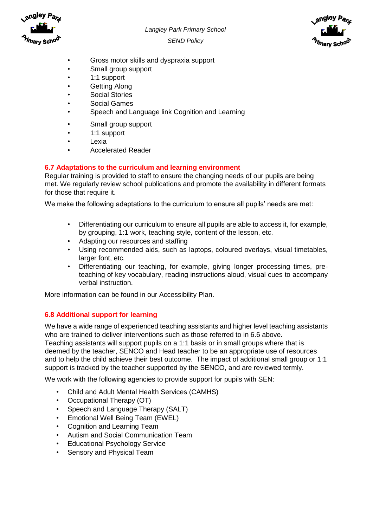



- Gross motor skills and dyspraxia support
- Small group support
- 1:1 support
- Getting Along
- Social Stories
- Social Games
- Speech and Language link Cognition and Learning
- Small group support
- 1:1 support
- Lexia
- Accelerated Reader

## **6.7 Adaptations to the curriculum and learning environment**

Regular training is provided to staff to ensure the changing needs of our pupils are being met. We regularly review school publications and promote the availability in different formats for those that require it.

We make the following adaptations to the curriculum to ensure all pupils' needs are met:

- Differentiating our curriculum to ensure all pupils are able to access it, for example, by grouping, 1:1 work, teaching style, content of the lesson, etc.
- Adapting our resources and staffing
- Using recommended aids, such as laptops, coloured overlays, visual timetables, larger font, etc.
- Differentiating our teaching, for example, giving longer processing times, preteaching of key vocabulary, reading instructions aloud, visual cues to accompany verbal instruction.

More information can be found in our Accessibility Plan.

#### **6.8 Additional support for learning**

We have a wide range of experienced teaching assistants and higher level teaching assistants who are trained to deliver interventions such as those referred to in 6.6 above.

Teaching assistants will support pupils on a 1:1 basis or in small groups where that is deemed by the teacher, SENCO and Head teacher to be an appropriate use of resources and to help the child achieve their best outcome. The impact of additional small group or 1:1 support is tracked by the teacher supported by the SENCO, and are reviewed termly.

We work with the following agencies to provide support for pupils with SEN:

- Child and Adult Mental Health Services (CAMHS)
- Occupational Therapy (OT)
- Speech and Language Therapy (SALT)
- Emotional Well Being Team (EWEL)
- Cognition and Learning Team
- Autism and Social Communication Team
- Educational Psychology Service
- Sensory and Physical Team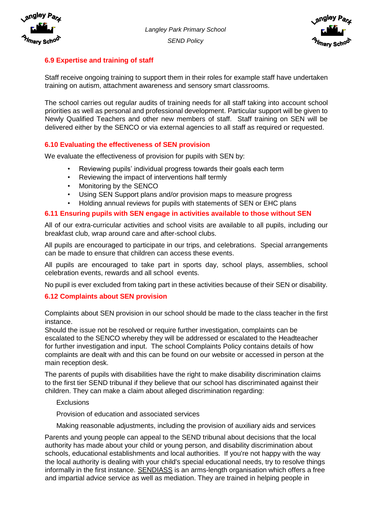



## **6.9 Expertise and training of staff**

Staff receive ongoing training to support them in their roles for example staff have undertaken training on autism, attachment awareness and sensory smart classrooms.

The school carries out regular audits of training needs for all staff taking into account school priorities as well as personal and professional development. Particular support will be given to Newly Qualified Teachers and other new members of staff. Staff training on SEN will be delivered either by the SENCO or via external agencies to all staff as required or requested.

## **6.10 Evaluating the effectiveness of SEN provision**

We evaluate the effectiveness of provision for pupils with SEN by:

- Reviewing pupils' individual progress towards their goals each term
- Reviewing the impact of interventions half termly
- Monitoring by the SENCO
- Using SEN Support plans and/or provision maps to measure progress
- Holding annual reviews for pupils with statements of SEN or EHC plans

#### **6.11 Ensuring pupils with SEN engage in activities available to those without SEN**

All of our extra-curricular activities and school visits are available to all pupils, including our breakfast club, wrap around care and after-school clubs.

All pupils are encouraged to participate in our trips, and celebrations. Special arrangements can be made to ensure that children can access these events.

All pupils are encouraged to take part in sports day, school plays, assemblies, school celebration events, rewards and all school events.

No pupil is ever excluded from taking part in these activities because of their SEN or disability.

#### **6.12 Complaints about SEN provision**

Complaints about SEN provision in our school should be made to the class teacher in the first instance.

Should the issue not be resolved or require further investigation, complaints can be escalated to the SENCO whereby they will be addressed or escalated to the Headteacher for further investigation and input. The school Complaints Policy contains details of how complaints are dealt with and this can be found on our website or accessed in person at the main reception desk.

The parents of pupils with disabilities have the right to make disability discrimination claims to the first tier SEND tribunal if they believe that our school has discriminated against their children. They can make a claim about alleged discrimination regarding:

#### Exclusions

Provision of education and associated services

Making reasonable adjustments, including the provision of auxiliary aids and services

Parents and young people can appeal to the SEND tribunal about decisions that the local authority has made about your child or young person, and disability discrimination about schools, educational establishments and local authorities. If you're not happy with the way the local authority is dealing with your child's special educational needs, try to resolve things informally in the first instance. SENDIASS is an arms-length organisation which offers a free and impartial advice service as well as mediation. They are trained in helping people in